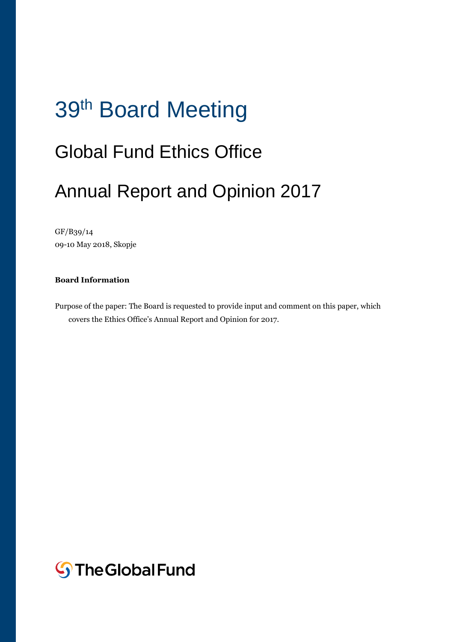# 39<sup>th</sup> Board Meeting

## Global Fund Ethics Office

## Annual Report and Opinion 2017

GF/B39/14 09-10 May 2018, Skopje

#### **Board Information**

Purpose of the paper: The Board is requested to provide input and comment on this paper, which covers the Ethics Office's Annual Report and Opinion for 2017.

**S**The Global Fund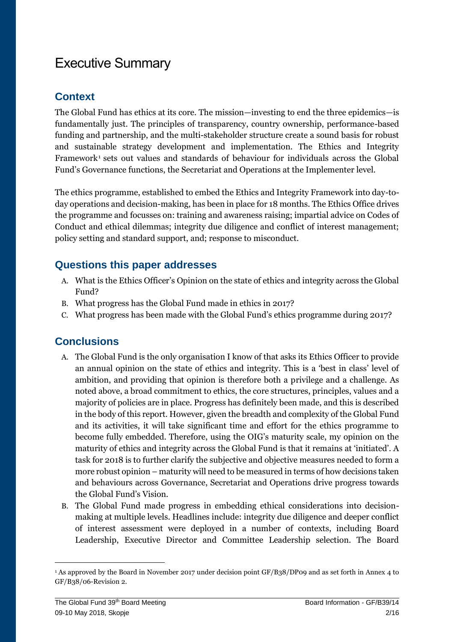## Executive Summary

## **Context**

The Global Fund has ethics at its core. The mission—investing to end the three epidemics—is fundamentally just. The principles of transparency, country ownership, performance-based funding and partnership, and the multi-stakeholder structure create a sound basis for robust and sustainable strategy development and implementation. The Ethics and Integrity Framework<sup>1</sup> sets out values and standards of behaviour for individuals across the Global Fund's Governance functions, the Secretariat and Operations at the Implementer level.

The ethics programme, established to embed the Ethics and Integrity Framework into day-today operations and decision-making, has been in place for 18 months. The Ethics Office drives the programme and focusses on: training and awareness raising; impartial advice on Codes of Conduct and ethical dilemmas; integrity due diligence and conflict of interest management; policy setting and standard support, and; response to misconduct.

### **Questions this paper addresses**

- A. What is the Ethics Officer's Opinion on the state of ethics and integrity across the Global Fund?
- B. What progress has the Global Fund made in ethics in 2017?
- C. What progress has been made with the Global Fund's ethics programme during 2017?

## **Conclusions**

- A. The Global Fund is the only organisation I know of that asks its Ethics Officer to provide an annual opinion on the state of ethics and integrity. This is a 'best in class' level of ambition, and providing that opinion is therefore both a privilege and a challenge. As noted above, a broad commitment to ethics, the core structures, principles, values and a majority of policies are in place. Progress has definitely been made, and this is described in the body of this report. However, given the breadth and complexity of the Global Fund and its activities, it will take significant time and effort for the ethics programme to become fully embedded. Therefore, using the OIG's maturity scale, my opinion on the maturity of ethics and integrity across the Global Fund is that it remains at 'initiated'. A task for 2018 is to further clarify the subjective and objective measures needed to form a more robust opinion – maturity will need to be measured in terms of how decisions taken and behaviours across Governance, Secretariat and Operations drive progress towards the Global Fund's Vision.
- B. The Global Fund made progress in embedding ethical considerations into decisionmaking at multiple levels. Headlines include: integrity due diligence and deeper conflict of interest assessment were deployed in a number of contexts, including Board Leadership, Executive Director and Committee Leadership selection. The Board

 $\overline{a}$ 

<sup>1</sup> As approved by the Board in November 2017 under decision point GF/B38/DP09 and as set forth in Annex 4 to GF/B38/06-Revision 2.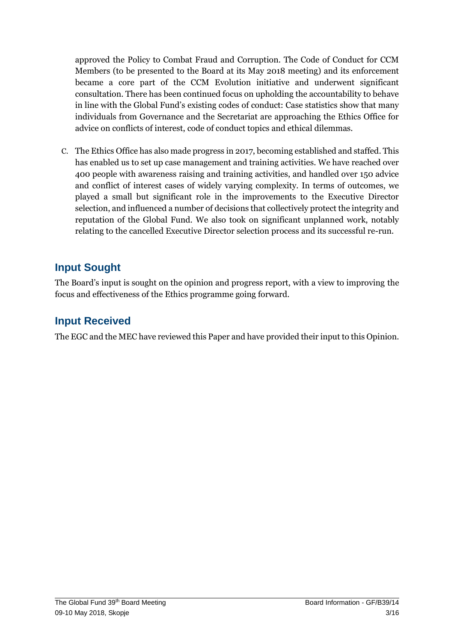approved the Policy to Combat Fraud and Corruption. The Code of Conduct for CCM Members (to be presented to the Board at its May 2018 meeting) and its enforcement became a core part of the CCM Evolution initiative and underwent significant consultation. There has been continued focus on upholding the accountability to behave in line with the Global Fund's existing codes of conduct: Case statistics show that many individuals from Governance and the Secretariat are approaching the Ethics Office for advice on conflicts of interest, code of conduct topics and ethical dilemmas.

C. The Ethics Office has also made progress in 2017, becoming established and staffed. This has enabled us to set up case management and training activities. We have reached over 400 people with awareness raising and training activities, and handled over 150 advice and conflict of interest cases of widely varying complexity. In terms of outcomes, we played a small but significant role in the improvements to the Executive Director selection, and influenced a number of decisions that collectively protect the integrity and reputation of the Global Fund. We also took on significant unplanned work, notably relating to the cancelled Executive Director selection process and its successful re-run.

## **Input Sought**

The Board's input is sought on the opinion and progress report, with a view to improving the focus and effectiveness of the Ethics programme going forward.

### **Input Received**

The EGC and the MEC have reviewed this Paper and have provided their input to this Opinion.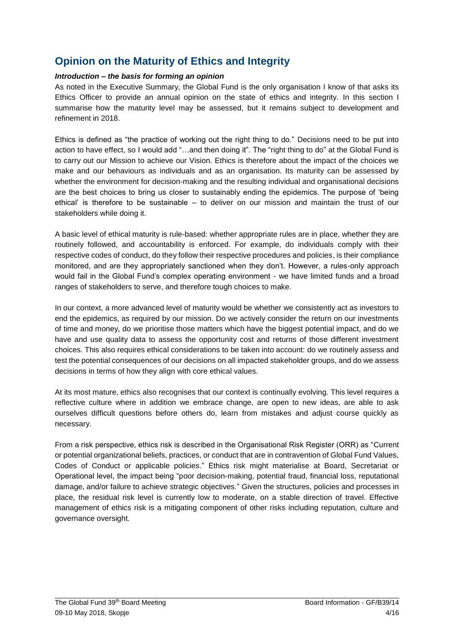## **Opinion on the Maturity of Ethics and Integrity**

#### *Introduction – the basis for forming an opinion*

As noted in the Executive Summary, the Global Fund is the only organisation I know of that asks its Ethics Officer to provide an annual opinion on the state of ethics and integrity. In this section I summarise how the maturity level may be assessed, but it remains subject to development and refinement in 2018.

Ethics is defined as "the practice of working out the right thing to do." Decisions need to be put into action to have effect, so I would add "…and then doing it". The "right thing to do" at the Global Fund is to carry out our Mission to achieve our Vision. Ethics is therefore about the impact of the choices we make and our behaviours as individuals and as an organisation. Its maturity can be assessed by whether the environment for decision-making and the resulting individual and organisational decisions are the best choices to bring us closer to sustainably ending the epidemics. The purpose of 'being ethical' is therefore to be sustainable – to deliver on our mission and maintain the trust of our stakeholders while doing it.

A basic level of ethical maturity is rule-based: whether appropriate rules are in place, whether they are routinely followed, and accountability is enforced. For example, do individuals comply with their respective codes of conduct, do they follow their respective procedures and policies, is their compliance monitored, and are they appropriately sanctioned when they don't. However, a rules-only approach would fail in the Global Fund's complex operating environment - we have limited funds and a broad ranges of stakeholders to serve, and therefore tough choices to make.

In our context, a more advanced level of maturity would be whether we consistently act as investors to end the epidemics, as required by our mission. Do we actively consider the return on our investments of time and money, do we prioritise those matters which have the biggest potential impact, and do we have and use quality data to assess the opportunity cost and returns of those different investment choices. This also requires ethical considerations to be taken into account: do we routinely assess and test the potential consequences of our decisions on all impacted stakeholder groups, and do we assess decisions in terms of how they align with core ethical values.

At its most mature, ethics also recognises that our context is continually evolving. This level requires a reflective culture where in addition we embrace change, are open to new ideas, are able to ask ourselves difficult questions before others do, learn from mistakes and adjust course quickly as necessary.

From a risk perspective, ethics risk is described in the Organisational Risk Register (ORR) as "Current or potential organizational beliefs, practices, or conduct that are in contravention of Global Fund Values, Codes of Conduct or applicable policies." Ethics risk might materialise at Board, Secretariat or Operational level, the impact being "poor decision-making, potential fraud, financial loss, reputational damage, and/or failure to achieve strategic objectives." Given the structures, policies and processes in place, the residual risk level is currently low to moderate, on a stable direction of travel. Effective management of ethics risk is a mitigating component of other risks including reputation, culture and governance oversight.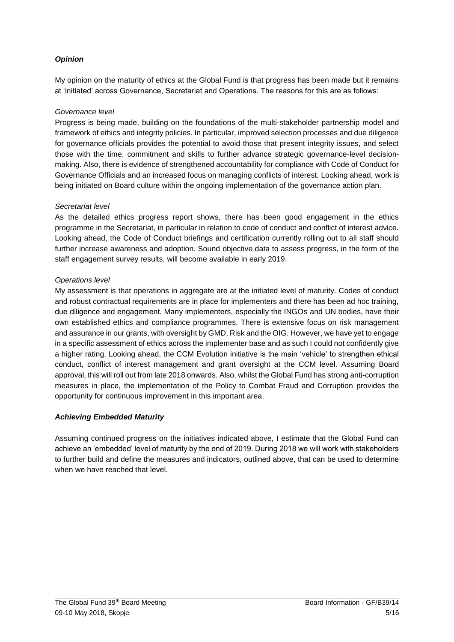#### *Opinion*

My opinion on the maturity of ethics at the Global Fund is that progress has been made but it remains at 'initiated' across Governance, Secretariat and Operations. The reasons for this are as follows:

#### *Governance level*

Progress is being made, building on the foundations of the multi-stakeholder partnership model and framework of ethics and integrity policies. In particular, improved selection processes and due diligence for governance officials provides the potential to avoid those that present integrity issues, and select those with the time, commitment and skills to further advance strategic governance-level decisionmaking. Also, there is evidence of strengthened accountability for compliance with Code of Conduct for Governance Officials and an increased focus on managing conflicts of interest. Looking ahead, work is being initiated on Board culture within the ongoing implementation of the governance action plan.

#### *Secretariat level*

As the detailed ethics progress report shows, there has been good engagement in the ethics programme in the Secretariat, in particular in relation to code of conduct and conflict of interest advice. Looking ahead, the Code of Conduct briefings and certification currently rolling out to all staff should further increase awareness and adoption. Sound objective data to assess progress, in the form of the staff engagement survey results, will become available in early 2019.

#### *Operations level*

My assessment is that operations in aggregate are at the initiated level of maturity. Codes of conduct and robust contractual requirements are in place for implementers and there has been ad hoc training, due diligence and engagement. Many implementers, especially the INGOs and UN bodies, have their own established ethics and compliance programmes. There is extensive focus on risk management and assurance in our grants, with oversight by GMD, Risk and the OIG. However, we have yet to engage in a specific assessment of ethics across the implementer base and as such I could not confidently give a higher rating. Looking ahead, the CCM Evolution initiative is the main 'vehicle' to strengthen ethical conduct, conflict of interest management and grant oversight at the CCM level. Assuming Board approval, this will roll out from late 2018 onwards. Also, whilst the Global Fund has strong anti-corruption measures in place, the implementation of the Policy to Combat Fraud and Corruption provides the opportunity for continuous improvement in this important area.

#### *Achieving Embedded Maturity*

Assuming continued progress on the initiatives indicated above, I estimate that the Global Fund can achieve an 'embedded' level of maturity by the end of 2019. During 2018 we will work with stakeholders to further build and define the measures and indicators, outlined above, that can be used to determine when we have reached that level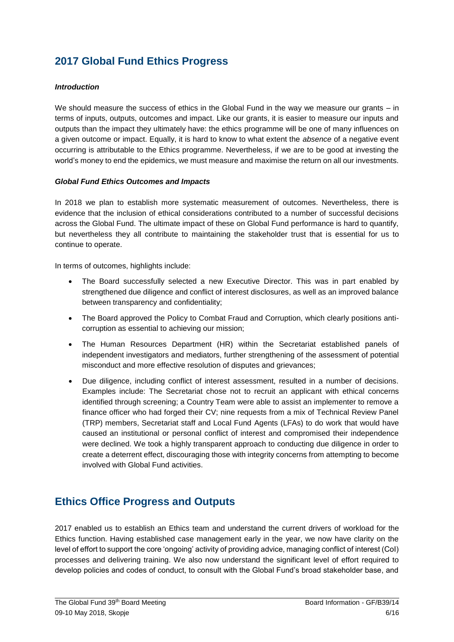## **2017 Global Fund Ethics Progress**

#### *Introduction*

We should measure the success of ethics in the Global Fund in the way we measure our grants – in terms of inputs, outputs, outcomes and impact. Like our grants, it is easier to measure our inputs and outputs than the impact they ultimately have: the ethics programme will be one of many influences on a given outcome or impact. Equally, it is hard to know to what extent the *absence* of a negative event occurring is attributable to the Ethics programme. Nevertheless, if we are to be good at investing the world's money to end the epidemics, we must measure and maximise the return on all our investments.

#### *Global Fund Ethics Outcomes and Impacts*

In 2018 we plan to establish more systematic measurement of outcomes. Nevertheless, there is evidence that the inclusion of ethical considerations contributed to a number of successful decisions across the Global Fund. The ultimate impact of these on Global Fund performance is hard to quantify, but nevertheless they all contribute to maintaining the stakeholder trust that is essential for us to continue to operate.

In terms of outcomes, highlights include:

- The Board successfully selected a new Executive Director. This was in part enabled by strengthened due diligence and conflict of interest disclosures, as well as an improved balance between transparency and confidentiality;
- The Board approved the Policy to Combat Fraud and Corruption, which clearly positions anticorruption as essential to achieving our mission;
- The Human Resources Department (HR) within the Secretariat established panels of independent investigators and mediators, further strengthening of the assessment of potential misconduct and more effective resolution of disputes and grievances;
- Due diligence, including conflict of interest assessment, resulted in a number of decisions. Examples include: The Secretariat chose not to recruit an applicant with ethical concerns identified through screening; a Country Team were able to assist an implementer to remove a finance officer who had forged their CV; nine requests from a mix of Technical Review Panel (TRP) members, Secretariat staff and Local Fund Agents (LFAs) to do work that would have caused an institutional or personal conflict of interest and compromised their independence were declined. We took a highly transparent approach to conducting due diligence in order to create a deterrent effect, discouraging those with integrity concerns from attempting to become involved with Global Fund activities.

## **Ethics Office Progress and Outputs**

2017 enabled us to establish an Ethics team and understand the current drivers of workload for the Ethics function. Having established case management early in the year, we now have clarity on the level of effort to support the core 'ongoing' activity of providing advice, managing conflict of interest (CoI) processes and delivering training. We also now understand the significant level of effort required to develop policies and codes of conduct, to consult with the Global Fund's broad stakeholder base, and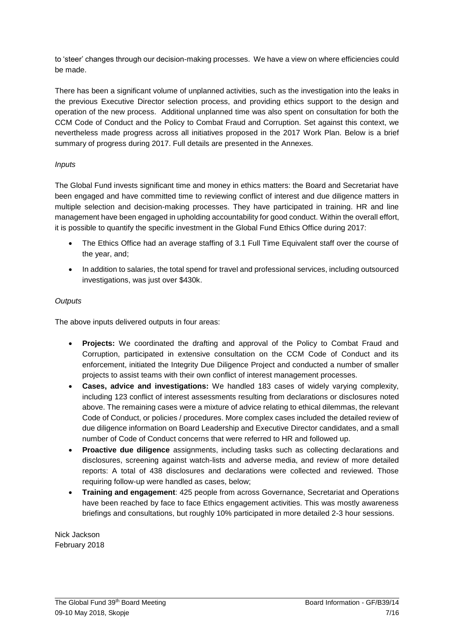to 'steer' changes through our decision-making processes. We have a view on where efficiencies could be made.

There has been a significant volume of unplanned activities, such as the investigation into the leaks in the previous Executive Director selection process, and providing ethics support to the design and operation of the new process. Additional unplanned time was also spent on consultation for both the CCM Code of Conduct and the Policy to Combat Fraud and Corruption. Set against this context, we nevertheless made progress across all initiatives proposed in the 2017 Work Plan. Below is a brief summary of progress during 2017. Full details are presented in the Annexes.

#### *Inputs*

The Global Fund invests significant time and money in ethics matters: the Board and Secretariat have been engaged and have committed time to reviewing conflict of interest and due diligence matters in multiple selection and decision-making processes. They have participated in training. HR and line management have been engaged in upholding accountability for good conduct. Within the overall effort, it is possible to quantify the specific investment in the Global Fund Ethics Office during 2017:

- The Ethics Office had an average staffing of 3.1 Full Time Equivalent staff over the course of the year, and;
- In addition to salaries, the total spend for travel and professional services, including outsourced investigations, was just over \$430k.

#### *Outputs*

The above inputs delivered outputs in four areas:

- **Projects:** We coordinated the drafting and approval of the Policy to Combat Fraud and Corruption, participated in extensive consultation on the CCM Code of Conduct and its enforcement, initiated the Integrity Due Diligence Project and conducted a number of smaller projects to assist teams with their own conflict of interest management processes.
- **Cases, advice and investigations:** We handled 183 cases of widely varying complexity, including 123 conflict of interest assessments resulting from declarations or disclosures noted above. The remaining cases were a mixture of advice relating to ethical dilemmas, the relevant Code of Conduct, or policies / procedures. More complex cases included the detailed review of due diligence information on Board Leadership and Executive Director candidates, and a small number of Code of Conduct concerns that were referred to HR and followed up.
- **Proactive due diligence** assignments, including tasks such as collecting declarations and disclosures, screening against watch-lists and adverse media, and review of more detailed reports: A total of 438 disclosures and declarations were collected and reviewed. Those requiring follow-up were handled as cases, below;
- **Training and engagement**: 425 people from across Governance, Secretariat and Operations have been reached by face to face Ethics engagement activities. This was mostly awareness briefings and consultations, but roughly 10% participated in more detailed 2-3 hour sessions.

Nick Jackson February 2018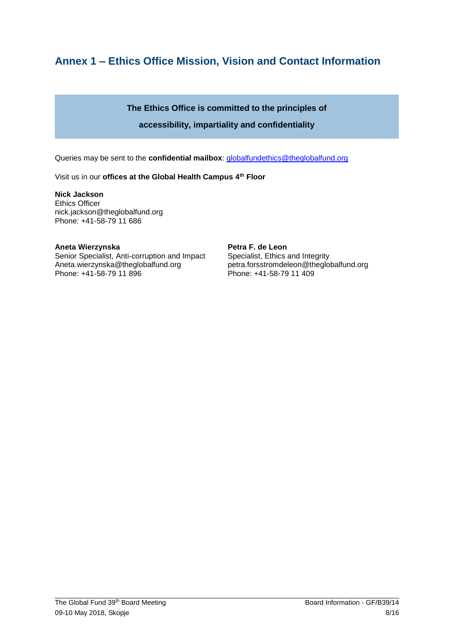## **Annex 1 – Ethics Office Mission, Vision and Contact Information**

#### **The Ethics Office is committed to the principles of**

#### **accessibility, impartiality and confidentiality**

Queries may be sent to the **confidential mailbox**: [globalfundethics@theglobalfund.org](mailto:globalfundethics@theglobalfund.org)

Visit us in our **offices at the Global Health Campus 4th Floor** 

**Nick Jackson**  Ethics Officer nick.jackson@theglobalfund.org Phone: +41-58-79 11 686

#### **Aneta Wierzynska**

Senior Specialist, Anti-corruption and Impact [Aneta.wierzynska@theglobalfund.org](mailto:Aneta.wierzynska@theglobalfund.org) Phone: +41-58-79 11 896

**Petra F. de Leon**  Specialist, Ethics and Integrity petra.forsstromdeleon@theglobalfund.org Phone: +41-58-79 11 409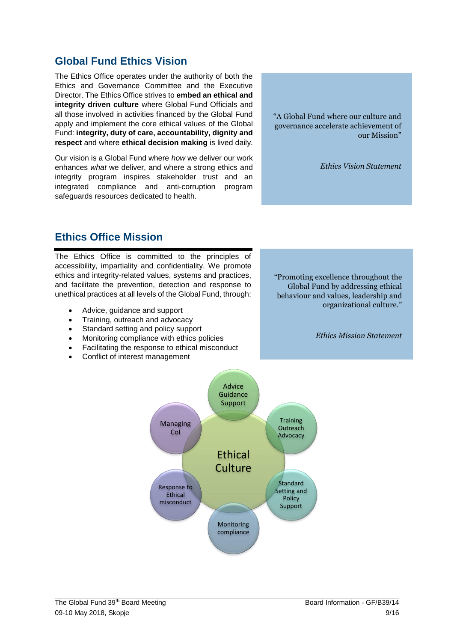#### The Global Fund 39<sup>th</sup> Board Meeting Board Information - GF/B39/14 09-10 May 2018, Skopje 9/16

### **Global Fund Ethics Vision**

The Ethics Office operates under the authority of both the Ethics and Governance Committee and the Executive Director. The Ethics Office strives to **embed an ethical and integrity driven culture** where Global Fund Officials and all those involved in activities financed by the Global Fund apply and implement the core ethical values of the Global Fund: **integrity, duty of care, accountability, dignity and respect** and where **ethical decision making** is lived daily.

Our vision is a Global Fund where *how* we deliver our work enhances *what* we deliver, and where a strong ethics and integrity program inspires stakeholder trust and an integrated compliance and anti-corruption program safeguards resources dedicated to health.

"A Global Fund where our culture and governance accelerate achievement of our Mission"

*Ethics Vision Statement*

## **Ethics Office Mission**

The Ethics Office is committed to the principles of accessibility, impartiality and confidentiality. We promote ethics and integrity-related values, systems and practices, and facilitate the prevention, detection and response to unethical practices at all levels of the Global Fund, through:

- Advice, guidance and support
- Training, outreach and advocacy
- Standard setting and policy support
- Monitoring compliance with ethics policies
- Facilitating the response to ethical misconduct

Ethical misconduct

Conflict of interest management

"Promoting excellence throughout the Global Fund by addressing ethical behaviour and values, leadership and organizational culture."

*Ethics Mission Statement*

Ethical **Culture** Advice **Guidance** Support **Training Outreach** Advocacy **Standard** Setting and Response to Managing CoI

> Monitoring compliance

Policy **Support**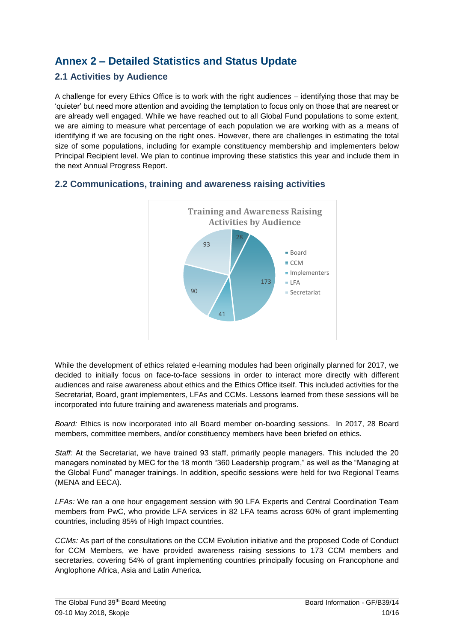## **Annex 2 – Detailed Statistics and Status Update**

#### **2.1 Activities by Audience**

A challenge for every Ethics Office is to work with the right audiences – identifying those that may be 'quieter' but need more attention and avoiding the temptation to focus only on those that are nearest or are already well engaged. While we have reached out to all Global Fund populations to some extent, we are aiming to measure what percentage of each population we are working with as a means of identifying if we are focusing on the right ones. However, there are challenges in estimating the total size of some populations, including for example constituency membership and implementers below Principal Recipient level. We plan to continue improving these statistics this year and include them in the next Annual Progress Report.



#### **2.2 Communications, training and awareness raising activities**

While the development of ethics related e-learning modules had been originally planned for 2017, we decided to initially focus on face-to-face sessions in order to interact more directly with different audiences and raise awareness about ethics and the Ethics Office itself. This included activities for the Secretariat, Board, grant implementers, LFAs and CCMs. Lessons learned from these sessions will be incorporated into future training and awareness materials and programs.

*Board:* Ethics is now incorporated into all Board member on-boarding sessions. In 2017, 28 Board members, committee members, and/or constituency members have been briefed on ethics.

*Staff:* At the Secretariat, we have trained 93 staff, primarily people managers. This included the 20 managers nominated by MEC for the 18 month "360 Leadership program," as well as the "Managing at the Global Fund" manager trainings. In addition, specific sessions were held for two Regional Teams (MENA and EECA).

*LFAs:* We ran a one hour engagement session with 90 LFA Experts and Central Coordination Team members from PwC, who provide LFA services in 82 LFA teams across 60% of grant implementing countries, including 85% of High Impact countries.

*CCMs:* As part of the consultations on the CCM Evolution initiative and the proposed Code of Conduct for CCM Members, we have provided awareness raising sessions to 173 CCM members and secretaries, covering 54% of grant implementing countries principally focusing on Francophone and Anglophone Africa, Asia and Latin America.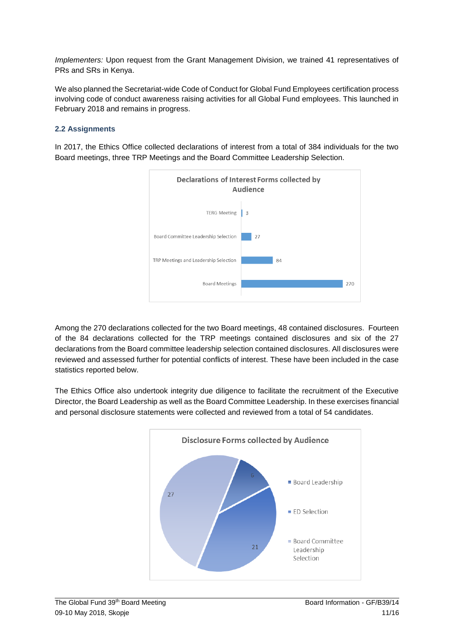*Implementers:* Upon request from the Grant Management Division, we trained 41 representatives of PRs and SRs in Kenya.

We also planned the Secretariat-wide Code of Conduct for Global Fund Employees certification process involving code of conduct awareness raising activities for all Global Fund employees. This launched in February 2018 and remains in progress.

#### **2.2 Assignments**

In 2017, the Ethics Office collected declarations of interest from a total of 384 individuals for the two Board meetings, three TRP Meetings and the Board Committee Leadership Selection.



Among the 270 declarations collected for the two Board meetings, 48 contained disclosures. Fourteen of the 84 declarations collected for the TRP meetings contained disclosures and six of the 27 declarations from the Board committee leadership selection contained disclosures. All disclosures were reviewed and assessed further for potential conflicts of interest. These have been included in the case statistics reported below.

The Ethics Office also undertook integrity due diligence to facilitate the recruitment of the Executive Director, the Board Leadership as well as the Board Committee Leadership. In these exercises financial and personal disclosure statements were collected and reviewed from a total of 54 candidates.

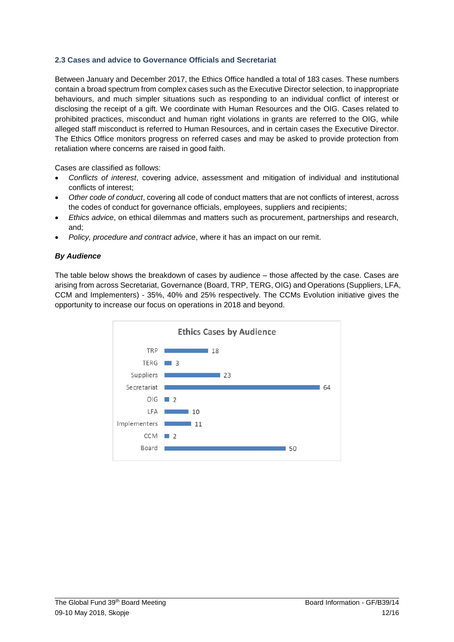#### **2.3 Cases and advice to Governance Officials and Secretariat**

Between January and December 2017, the Ethics Office handled a total of 183 cases. These numbers contain a broad spectrum from complex cases such as the Executive Director selection, to inappropriate behaviours, and much simpler situations such as responding to an individual conflict of interest or disclosing the receipt of a gift. We coordinate with Human Resources and the OIG. Cases related to prohibited practices, misconduct and human right violations in grants are referred to the OIG, while alleged staff misconduct is referred to Human Resources, and in certain cases the Executive Director. The Ethics Office monitors progress on referred cases and may be asked to provide protection from retaliation where concerns are raised in good faith.

Cases are classified as follows:

- *Conflicts of interest*, covering advice, assessment and mitigation of individual and institutional conflicts of interest;
- *Other code of conduct*, covering all code of conduct matters that are not conflicts of interest, across the codes of conduct for governance officials, employees, suppliers and recipients;
- *Ethics advice*, on ethical dilemmas and matters such as procurement, partnerships and research, and;
- *Policy, procedure and contract advice*, where it has an impact on our remit.

#### *By Audience*

The table below shows the breakdown of cases by audience – those affected by the case. Cases are arising from across Secretariat, Governance (Board, TRP, TERG, OIG) and Operations (Suppliers, LFA, CCM and Implementers) - 35%, 40% and 25% respectively. The CCMs Evolution initiative gives the opportunity to increase our focus on operations in 2018 and beyond.

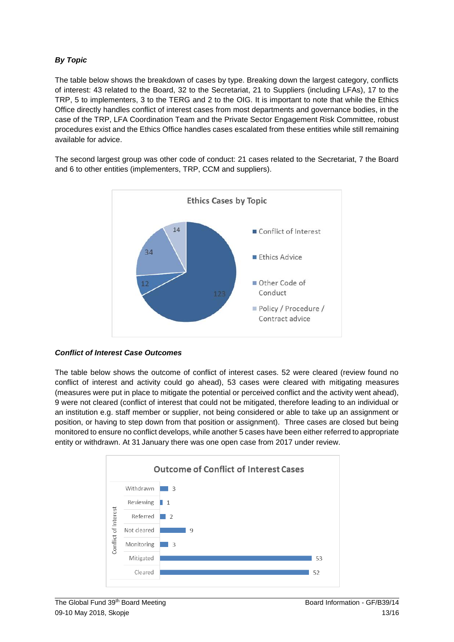#### *By Topic*

The table below shows the breakdown of cases by type. Breaking down the largest category, conflicts of interest: 43 related to the Board, 32 to the Secretariat, 21 to Suppliers (including LFAs), 17 to the TRP, 5 to implementers, 3 to the TERG and 2 to the OIG. It is important to note that while the Ethics Office directly handles conflict of interest cases from most departments and governance bodies, in the case of the TRP, LFA Coordination Team and the Private Sector Engagement Risk Committee, robust procedures exist and the Ethics Office handles cases escalated from these entities while still remaining available for advice.

The second largest group was other code of conduct: 21 cases related to the Secretariat, 7 the Board and 6 to other entities (implementers, TRP, CCM and suppliers).



#### *Conflict of Interest Case Outcomes*

The table below shows the outcome of conflict of interest cases. 52 were cleared (review found no conflict of interest and activity could go ahead), 53 cases were cleared with mitigating measures (measures were put in place to mitigate the potential or perceived conflict and the activity went ahead), 9 were not cleared (conflict of interest that could not be mitigated, therefore leading to an individual or an institution e.g. staff member or supplier, not being considered or able to take up an assignment or position, or having to step down from that position or assignment). Three cases are closed but being monitored to ensure no conflict develops, while another 5 cases have been either referred to appropriate entity or withdrawn. At 31 January there was one open case from 2017 under review.

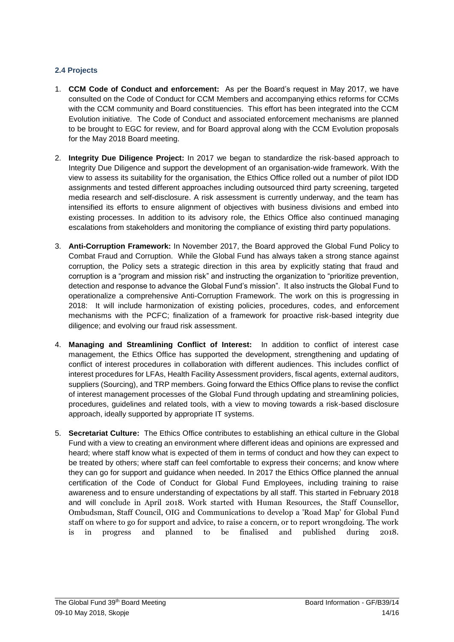#### **2.4 Projects**

- 1. **CCM Code of Conduct and enforcement:** As per the Board's request in May 2017, we have consulted on the Code of Conduct for CCM Members and accompanying ethics reforms for CCMs with the CCM community and Board constituencies. This effort has been integrated into the CCM Evolution initiative. The Code of Conduct and associated enforcement mechanisms are planned to be brought to EGC for review, and for Board approval along with the CCM Evolution proposals for the May 2018 Board meeting.
- 2. **Integrity Due Diligence Project:** In 2017 we began to standardize the risk-based approach to Integrity Due Diligence and support the development of an organisation-wide framework. With the view to assess its suitability for the organisation, the Ethics Office rolled out a number of pilot IDD assignments and tested different approaches including outsourced third party screening, targeted media research and self-disclosure. A risk assessment is currently underway, and the team has intensified its efforts to ensure alignment of objectives with business divisions and embed into existing processes. In addition to its advisory role, the Ethics Office also continued managing escalations from stakeholders and monitoring the compliance of existing third party populations.
- 3. **Anti-Corruption Framework:** In November 2017, the Board approved the Global Fund Policy to Combat Fraud and Corruption. While the Global Fund has always taken a strong stance against corruption, the Policy sets a strategic direction in this area by explicitly stating that fraud and corruption is a "program and mission risk" and instructing the organization to "prioritize prevention, detection and response to advance the Global Fund's mission". It also instructs the Global Fund to operationalize a comprehensive Anti-Corruption Framework. The work on this is progressing in 2018: It will include harmonization of existing policies, procedures, codes, and enforcement mechanisms with the PCFC; finalization of a framework for proactive risk-based integrity due diligence; and evolving our fraud risk assessment.
- 4. **Managing and Streamlining Conflict of Interest:** In addition to conflict of interest case management, the Ethics Office has supported the development, strengthening and updating of conflict of interest procedures in collaboration with different audiences. This includes conflict of interest procedures for LFAs, Health Facility Assessment providers, fiscal agents, external auditors, suppliers (Sourcing), and TRP members. Going forward the Ethics Office plans to revise the conflict of interest management processes of the Global Fund through updating and streamlining policies, procedures, guidelines and related tools, with a view to moving towards a risk-based disclosure approach, ideally supported by appropriate IT systems.
- 5. **Secretariat Culture:** The Ethics Office contributes to establishing an ethical culture in the Global Fund with a view to creating an environment where different ideas and opinions are expressed and heard; where staff know what is expected of them in terms of conduct and how they can expect to be treated by others; where staff can feel comfortable to express their concerns; and know where they can go for support and guidance when needed. In 2017 the Ethics Office planned the annual certification of the Code of Conduct for Global Fund Employees, including training to raise awareness and to ensure understanding of expectations by all staff. This started in February 2018 and will conclude in April 2018. Work started with Human Resources, the Staff Counsellor, Ombudsman, Staff Council, OIG and Communications to develop a 'Road Map' for Global Fund staff on where to go for support and advice, to raise a concern, or to report wrongdoing. The work is in progress and planned to be finalised and published during 2018.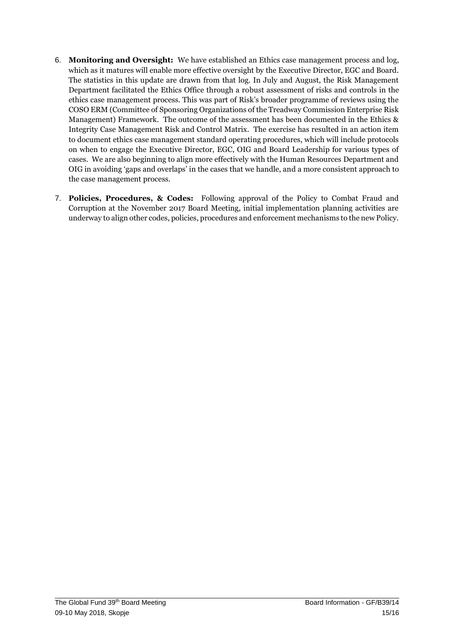- 6. **Monitoring and Oversight:** We have established an Ethics case management process and log, which as it matures will enable more effective oversight by the Executive Director, EGC and Board. The statistics in this update are drawn from that log. In July and August, the Risk Management Department facilitated the Ethics Office through a robust assessment of risks and controls in the ethics case management process. This was part of Risk's broader programme of reviews using the COSO ERM (Committee of Sponsoring Organizations of the Treadway Commission Enterprise Risk Management) Framework. The outcome of the assessment has been documented in the Ethics & Integrity Case Management Risk and Control Matrix. The exercise has resulted in an action item to document ethics case management standard operating procedures, which will include protocols on when to engage the Executive Director, EGC, OIG and Board Leadership for various types of cases. We are also beginning to align more effectively with the Human Resources Department and OIG in avoiding 'gaps and overlaps' in the cases that we handle, and a more consistent approach to the case management process.
- 7. **Policies, Procedures, & Codes:** Following approval of the Policy to Combat Fraud and Corruption at the November 2017 Board Meeting, initial implementation planning activities are underway to align other codes, policies, procedures and enforcement mechanisms to the new Policy.